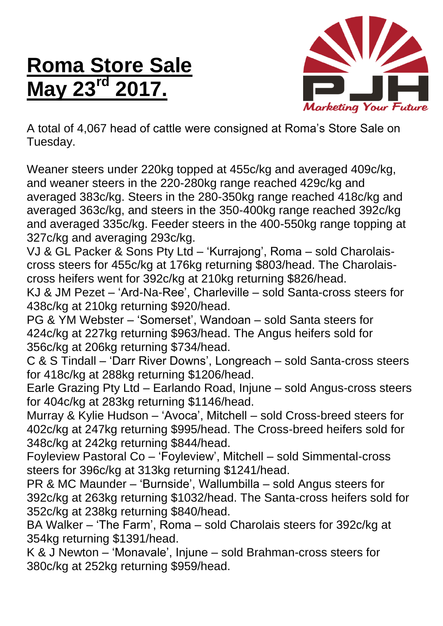## **Roma Store Sale May 23<sup>rd</sup>**



A total of 4,067 head of cattle were consigned at Roma's Store Sale on Tuesday.

Weaner steers under 220kg topped at 455c/kg and averaged 409c/kg, and weaner steers in the 220-280kg range reached 429c/kg and averaged 383c/kg. Steers in the 280-350kg range reached 418c/kg and averaged 363c/kg, and steers in the 350-400kg range reached 392c/kg and averaged 335c/kg. Feeder steers in the 400-550kg range topping at 327c/kg and averaging 293c/kg.

VJ & GL Packer & Sons Pty Ltd – 'Kurrajong', Roma – sold Charolaiscross steers for 455c/kg at 176kg returning \$803/head. The Charolaiscross heifers went for 392c/kg at 210kg returning \$826/head.

KJ & JM Pezet – 'Ard-Na-Ree', Charleville – sold Santa-cross steers for 438c/kg at 210kg returning \$920/head.

PG & YM Webster – 'Somerset', Wandoan – sold Santa steers for 424c/kg at 227kg returning \$963/head. The Angus heifers sold for 356c/kg at 206kg returning \$734/head.

C & S Tindall – 'Darr River Downs', Longreach – sold Santa-cross steers for 418c/kg at 288kg returning \$1206/head.

Earle Grazing Pty Ltd – Earlando Road, Injune – sold Angus-cross steers for 404c/kg at 283kg returning \$1146/head.

Murray & Kylie Hudson – 'Avoca', Mitchell – sold Cross-breed steers for 402c/kg at 247kg returning \$995/head. The Cross-breed heifers sold for 348c/kg at 242kg returning \$844/head.

Foyleview Pastoral Co – 'Foyleview', Mitchell – sold Simmental-cross steers for 396c/kg at 313kg returning \$1241/head.

PR & MC Maunder – 'Burnside', Wallumbilla – sold Angus steers for 392c/kg at 263kg returning \$1032/head. The Santa-cross heifers sold for 352c/kg at 238kg returning \$840/head.

BA Walker – 'The Farm', Roma – sold Charolais steers for 392c/kg at 354kg returning \$1391/head.

K & J Newton – 'Monavale', Injune – sold Brahman-cross steers for 380c/kg at 252kg returning \$959/head.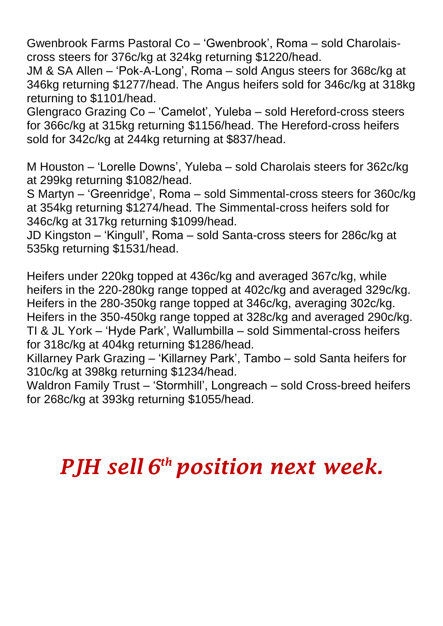Gwenbrook Farms Pastoral Co – 'Gwenbrook', Roma – sold Charolaiscross steers for 376c/kg at 324kg returning \$1220/head.

JM & SA Allen – 'Pok-A-Long', Roma – sold Angus steers for 368c/kg at 346kg returning \$1277/head. The Angus heifers sold for 346c/kg at 318kg returning to \$1101/head.

Glengraco Grazing Co – 'Camelot', Yuleba – sold Hereford-cross steers for 366c/kg at 315kg returning \$1156/head. The Hereford-cross heifers sold for 342c/kg at 244kg returning at \$837/head.

M Houston – 'Lorelle Downs', Yuleba – sold Charolais steers for 362c/kg at 299kg returning \$1082/head.

S Martyn – 'Greenridge', Roma – sold Simmental-cross steers for 360c/kg at 354kg returning \$1274/head. The Simmental-cross heifers sold for 346c/kg at 317kg returning \$1099/head.

JD Kingston – 'Kingull', Roma – sold Santa-cross steers for 286c/kg at 535kg returning \$1531/head.

Heifers under 220kg topped at 436c/kg and averaged 367c/kg, while heifers in the 220-280kg range topped at 402c/kg and averaged 329c/kg. Heifers in the 280-350kg range topped at 346c/kg, averaging 302c/kg. Heifers in the 350-450kg range topped at 328c/kg and averaged 290c/kg. TI & JL York – 'Hyde Park', Wallumbilla – sold Simmental-cross heifers for 318c/kg at 404kg returning \$1286/head.

Killarney Park Grazing – 'Killarney Park', Tambo – sold Santa heifers for 310c/kg at 398kg returning \$1234/head.

Waldron Family Trust – 'Stormhill', Longreach – sold Cross-breed heifers for 268c/kg at 393kg returning \$1055/head.

## *PJH sell 6 th position next week.*